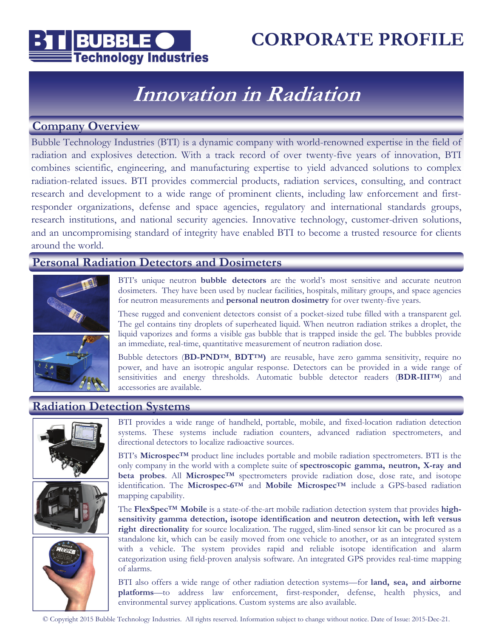

### **CORPORATE PROFILE**

# **Innovation in Radiation**

### **Company Overview**

Bubble Technology Industries (BTI) is a dynamic company with world-renowned expertise in the field of radiation and explosives detection. With a track record of over twenty-five years of innovation, BTI combines scientific, engineering, and manufacturing expertise to yield advanced solutions to complex radiation-related issues. BTI provides commercial products, radiation services, consulting, and contract research and development to a wide range of prominent clients, including law enforcement and firstresponder organizations, defense and space agencies, regulatory and international standards groups, research institutions, and national security agencies. Innovative technology, customer-driven solutions, and an uncompromising standard of integrity have enabled BTI to become a trusted resource for clients around the world.

### **Personal Radiation Detectors and Dosimeters**



BTI's unique neutron **bubble detectors** are the world's most sensitive and accurate neutron dosimeters. They have been used by nuclear facilities, hospitals, military groups, and space agencies for neutron measurements and **personal neutron dosimetry** for over twenty-five years.

These rugged and convenient detectors consist of a pocket-sized tube filled with a transparent gel. The gel contains tiny droplets of superheated liquid. When neutron radiation strikes a droplet, the liquid vaporizes and forms a visible gas bubble that is trapped inside the gel. The bubbles provide an immediate, real-time, quantitative measurement of neutron radiation dose.

Bubble detectors (**BD-PNDTM**, **BDTTM)** are reusable, have zero gamma sensitivity, require no power, and have an isotropic angular response. Detectors can be provided in a wide range of sensitivities and energy thresholds. Automatic bubble detector readers (**BDR-IIITM**) and accessories are available.

### **Radiation Detection Systems**







BTI provides a wide range of handheld, portable, mobile, and fixed-location radiation detection systems. These systems include radiation counters, advanced radiation spectrometers, and directional detectors to localize radioactive sources.

BTI's **MicrospecTM** product line includes portable and mobile radiation spectrometers. BTI is the only company in the world with a complete suite of **spectroscopic gamma, neutron, X-ray and beta probes**. All **MicrospecTM** spectrometers provide radiation dose, dose rate, and isotope identification. The **Microspec-6TM** and **Mobile MicrospecTM** include a GPS-based radiation mapping capability.

The **FlexSpecTM Mobile** is a state-of-the-art mobile radiation detection system that provides **highsensitivity gamma detection, isotope identification and neutron detection, with left versus right directionality** for source localization. The rugged, slim-lined sensor kit can be procured as a standalone kit, which can be easily moved from one vehicle to another, or as an integrated system with a vehicle. The system provides rapid and reliable isotope identification and alarm categorization using field-proven analysis software. An integrated GPS provides real-time mapping of alarms.

BTI also offers a wide range of other radiation detection systems—for **land, sea, and airborne platforms**—to address law enforcement, first-responder, defense, health physics, and environmental survey applications. Custom systems are also available.

© Copyright 2015 Bubble Technology Industries. All rights reserved. Information subject to change without notice. Date of Issue: 2015-Dec-21.